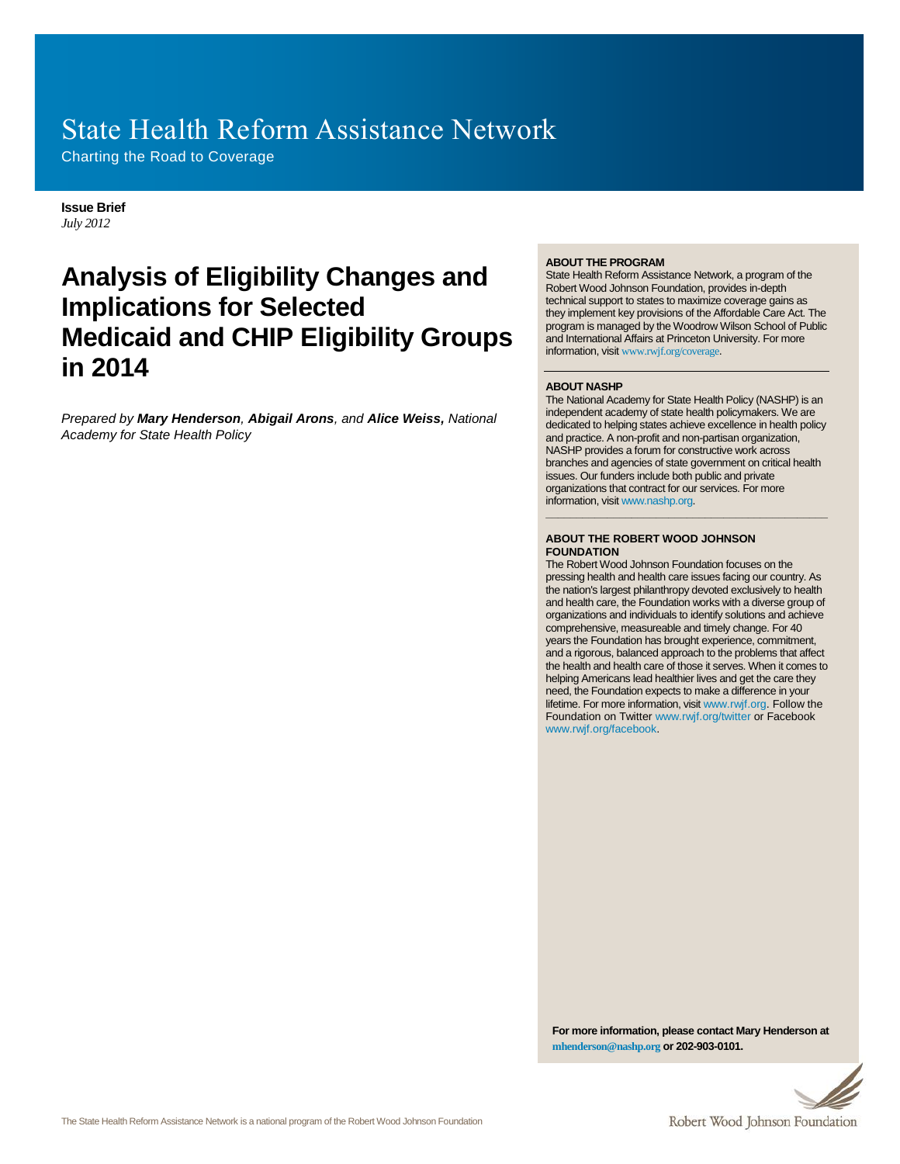# State Health Reform Assistance Network

Charting the Road to Coverage

#### **Issue Brief**  *July 2012*

# **Analysis of Eligibility Changes and Implications for Selected Medicaid and CHIP Eligibility Groups in 2014**

*Prepared by Mary Henderson, Abigail Arons, and Alice Weiss, National Academy for State Health Policy*

#### **ABOUT THE PROGRAM**

State Health Reform Assistance Network, a program of the Robert Wood Johnson Foundation, provides in-depth technical support to states to maximize coverage gains as they implement key provisions of the Affordable Care Act. The program is managed by the Woodrow Wilson School of Public and International Affairs at Princeton University. For more information, visit [www.rwjf.org/coverage](http://www.rwjf.org/coverage).

#### **ABOUT NASHP**

The National Academy for State Health Policy (NASHP) is an independent academy of state health policymakers. We are dedicated to helping states achieve excellence in health policy and practice. A non-profit and non-partisan organization, NASHP provides a forum for constructive work across branches and agencies of state government on critical health issues. Our funders include both public and private organizations that contract for our services. For more information, visi[t www.nashp.org.](http://www.nashp.org/)

**\_\_\_\_\_\_\_\_\_\_\_\_\_\_\_\_\_\_\_\_\_\_\_\_\_\_\_\_\_\_\_\_\_\_\_\_\_\_\_\_\_\_\_\_\_\_**

#### **ABOUT THE ROBERT WOOD JOHNSON FOUNDATION**

The Robert Wood Johnson Foundation focuses on the pressing health and health care issues facing our country. As the nation's largest philanthropy devoted exclusively to health and health care, the Foundation works with a diverse group of organizations and individuals to identify solutions and achieve comprehensive, measureable and timely change. For 40 years the Foundation has brought experience, commitment, and a rigorous, balanced approach to the problems that affect the health and health care of those it serves. When it comes to helping Americans lead healthier lives and get the care they need, the Foundation expects to make a difference in your lifetime. For more information, visi[t www.rwjf.org.](http://www.rwjf.org/) Follow the Foundation on Twitter [www.rwjf.org/twitter](http://www.rwjf.org/twitter) or Facebook [www.rwjf.org/facebook.](http://www.rwjf.org/facebook)

**For more information, please contact Mary Henderson at [mhenderson@nashp.org](mailto:mhenderson@nashp.org) or 202-903-0101.** 

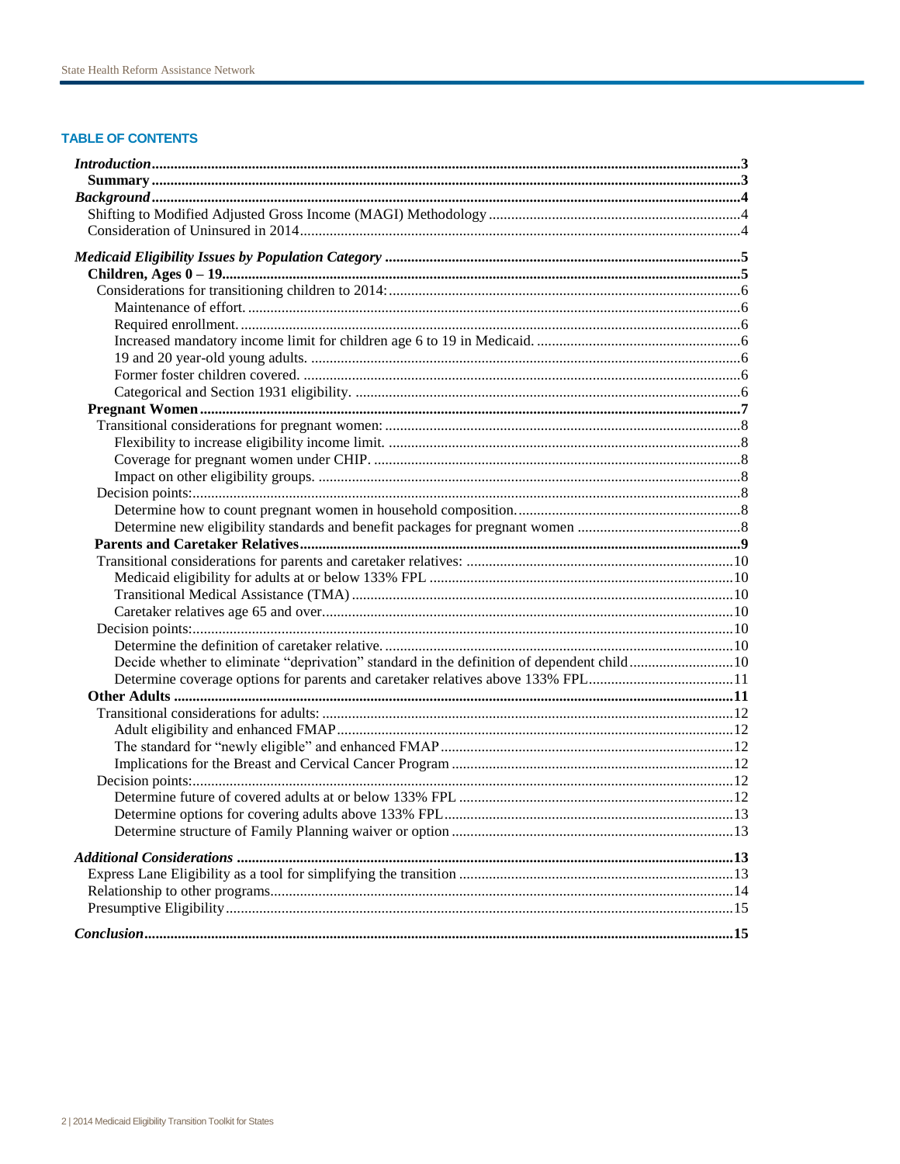# **TABLE OF CONTENTS**

| Determine coverage options for parents and caretaker relatives above 133% FPL11 |  |
|---------------------------------------------------------------------------------|--|
|                                                                                 |  |
|                                                                                 |  |
|                                                                                 |  |
|                                                                                 |  |
|                                                                                 |  |
|                                                                                 |  |
|                                                                                 |  |
|                                                                                 |  |
|                                                                                 |  |
|                                                                                 |  |
|                                                                                 |  |
|                                                                                 |  |
|                                                                                 |  |
|                                                                                 |  |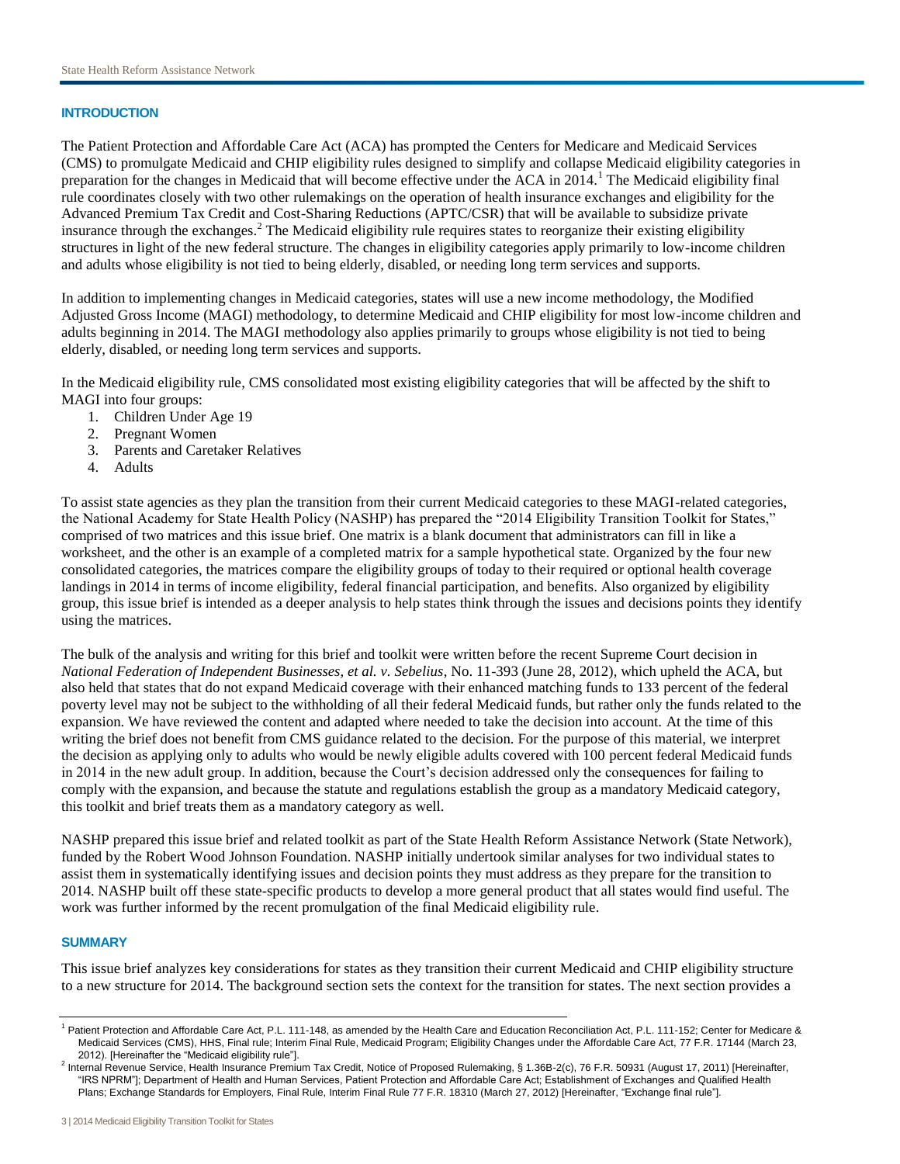# **INTRODUCTION**

The Patient Protection and Affordable Care Act (ACA) has prompted the Centers for Medicare and Medicaid Services (CMS) to promulgate Medicaid and CHIP eligibility rules designed to simplify and collapse Medicaid eligibility categories in preparation for the changes in Medicaid that will become effective under the ACA in 2014.<sup>1</sup> The Medicaid eligibility final rule coordinates closely with two other rulemakings on the operation of health insurance exchanges and eligibility for the Advanced Premium Tax Credit and Cost-Sharing Reductions (APTC/CSR) that will be available to subsidize private insurance through the exchanges.<sup>2</sup> The Medicaid eligibility rule requires states to reorganize their existing eligibility structures in light of the new federal structure. The changes in eligibility categories apply primarily to low-income children and adults whose eligibility is not tied to being elderly, disabled, or needing long term services and supports.

In addition to implementing changes in Medicaid categories, states will use a new income methodology, the Modified Adjusted Gross Income (MAGI) methodology, to determine Medicaid and CHIP eligibility for most low-income children and adults beginning in 2014. The MAGI methodology also applies primarily to groups whose eligibility is not tied to being elderly, disabled, or needing long term services and supports.

In the Medicaid eligibility rule, CMS consolidated most existing eligibility categories that will be affected by the shift to MAGI into four groups:

- 1. Children Under Age 19
- 2. Pregnant Women
- 3. Parents and Caretaker Relatives
- 4. Adults

To assist state agencies as they plan the transition from their current Medicaid categories to these MAGI-related categories, the National Academy for State Health Policy (NASHP) has prepared the "2014 Eligibility Transition Toolkit for States," comprised of two matrices and this issue brief. One matrix is a blank document that administrators can fill in like a worksheet, and the other is an example of a completed matrix for a sample hypothetical state. Organized by the four new consolidated categories, the matrices compare the eligibility groups of today to their required or optional health coverage landings in 2014 in terms of income eligibility, federal financial participation, and benefits. Also organized by eligibility group, this issue brief is intended as a deeper analysis to help states think through the issues and decisions points they identify using the matrices.

The bulk of the analysis and writing for this brief and toolkit were written before the recent Supreme Court decision in *National Federation of Independent Businesses, et al. v. Sebelius*, No. 11-393 (June 28, 2012), which upheld the ACA, but also held that states that do not expand Medicaid coverage with their enhanced matching funds to 133 percent of the federal poverty level may not be subject to the withholding of all their federal Medicaid funds, but rather only the funds related to the expansion. We have reviewed the content and adapted where needed to take the decision into account. At the time of this writing the brief does not benefit from CMS guidance related to the decision. For the purpose of this material, we interpret the decision as applying only to adults who would be newly eligible adults covered with 100 percent federal Medicaid funds in 2014 in the new adult group. In addition, because the Court's decision addressed only the consequences for failing to comply with the expansion, and because the statute and regulations establish the group as a mandatory Medicaid category, this toolkit and brief treats them as a mandatory category as well.

NASHP prepared this issue brief and related toolkit as part of the State Health Reform Assistance Network (State Network), funded by the Robert Wood Johnson Foundation. NASHP initially undertook similar analyses for two individual states to assist them in systematically identifying issues and decision points they must address as they prepare for the transition to 2014. NASHP built off these state-specific products to develop a more general product that all states would find useful. The work was further informed by the recent promulgation of the final Medicaid eligibility rule.

## **SUMMARY**

This issue brief analyzes key considerations for states as they transition their current Medicaid and CHIP eligibility structure to a new structure for 2014. The background section sets the context for the transition for states. The next section provides a

<sup>&</sup>lt;sup>1</sup> Patient Protection and Affordable Care Act, P.L. 111-148, as amended by the Health Care and Education Reconciliation Act, P.L. 111-152; Center for Medicare & Medicaid Services (CMS), HHS, Final rule; Interim Final Rule, Medicaid Program; Eligibility Changes under the Affordable Care Act, 77 F.R. 17144 (March 23, 2012). [Hereinafter the "Medicaid eligibility rule"].

<sup>&</sup>lt;sup>2</sup> Internal Revenue Service, Health Insurance Premium Tax Credit, Notice of Proposed Rulemaking, § 1.36B-2(c), 76 F.R. 50931 (August 17, 2011) [Hereinafter, "IRS NPRM"]; Department of Health and Human Services, Patient Protection and Affordable Care Act; Establishment of Exchanges and Qualified Health Plans; Exchange Standards for Employers, Final Rule, Interim Final Rule 77 F.R. 18310 (March 27, 2012) [Hereinafter, "Exchange final rule"].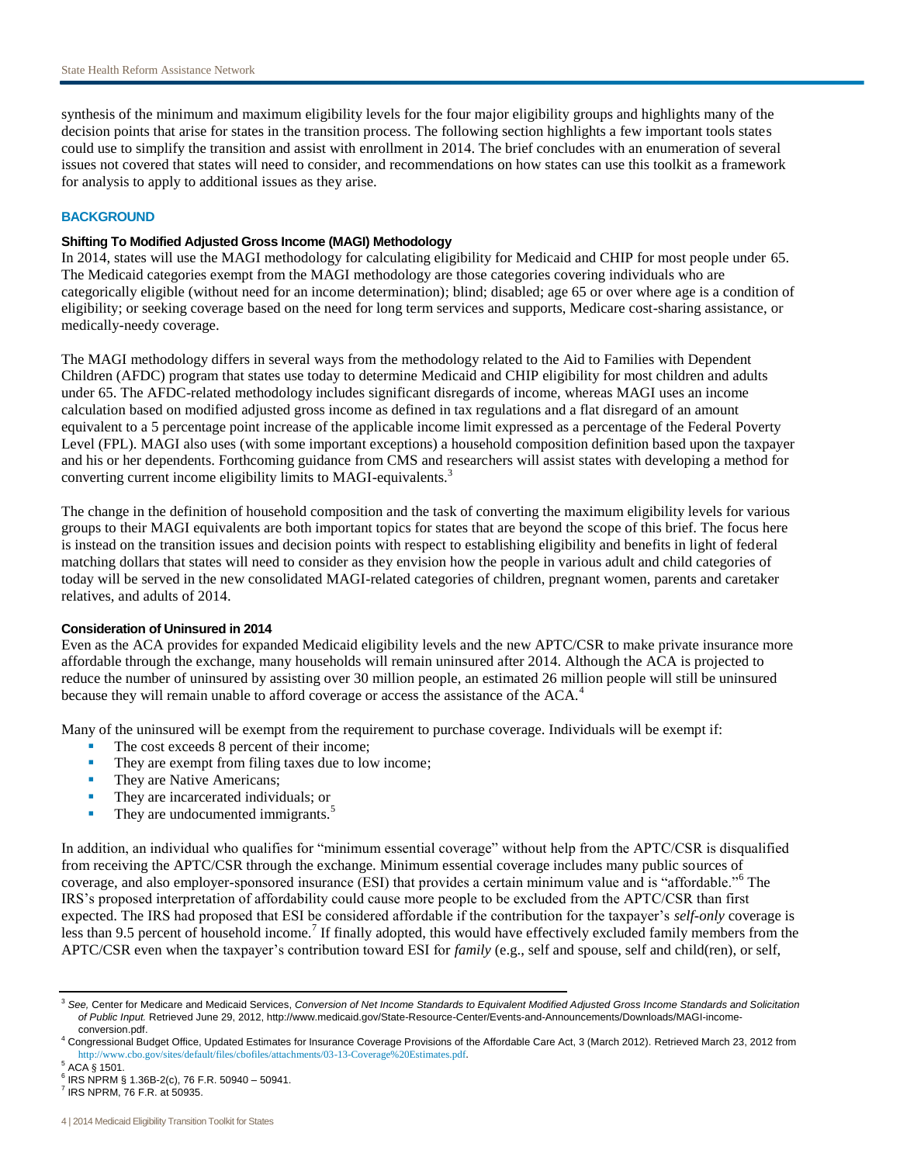synthesis of the minimum and maximum eligibility levels for the four major eligibility groups and highlights many of the decision points that arise for states in the transition process. The following section highlights a few important tools states could use to simplify the transition and assist with enrollment in 2014. The brief concludes with an enumeration of several issues not covered that states will need to consider, and recommendations on how states can use this toolkit as a framework for analysis to apply to additional issues as they arise.

### **BACKGROUND**

# **Shifting To Modified Adjusted Gross Income (MAGI) Methodology**

In 2014, states will use the MAGI methodology for calculating eligibility for Medicaid and CHIP for most people under 65. The Medicaid categories exempt from the MAGI methodology are those categories covering individuals who are categorically eligible (without need for an income determination); blind; disabled; age 65 or over where age is a condition of eligibility; or seeking coverage based on the need for long term services and supports, Medicare cost-sharing assistance, or medically-needy coverage.

The MAGI methodology differs in several ways from the methodology related to the Aid to Families with Dependent Children (AFDC) program that states use today to determine Medicaid and CHIP eligibility for most children and adults under 65. The AFDC-related methodology includes significant disregards of income, whereas MAGI uses an income calculation based on modified adjusted gross income as defined in tax regulations and a flat disregard of an amount equivalent to a 5 percentage point increase of the applicable income limit expressed as a percentage of the Federal Poverty Level (FPL). MAGI also uses (with some important exceptions) a household composition definition based upon the taxpayer and his or her dependents. Forthcoming guidance from CMS and researchers will assist states with developing a method for converting current income eligibility limits to MAGI-equivalents.<sup>3</sup>

The change in the definition of household composition and the task of converting the maximum eligibility levels for various groups to their MAGI equivalents are both important topics for states that are beyond the scope of this brief. The focus here is instead on the transition issues and decision points with respect to establishing eligibility and benefits in light of federal matching dollars that states will need to consider as they envision how the people in various adult and child categories of today will be served in the new consolidated MAGI-related categories of children, pregnant women, parents and caretaker relatives, and adults of 2014.

#### **Consideration of Uninsured in 2014**

Even as the ACA provides for expanded Medicaid eligibility levels and the new APTC/CSR to make private insurance more affordable through the exchange, many households will remain uninsured after 2014. Although the ACA is projected to reduce the number of uninsured by assisting over 30 million people, an estimated 26 million people will still be uninsured because they will remain unable to afford coverage or access the assistance of the ACA.<sup>4</sup>

Many of the uninsured will be exempt from the requirement to purchase coverage. Individuals will be exempt if:

- The cost exceeds 8 percent of their income;
- They are exempt from filing taxes due to low income;
- They are Native Americans;
- They are incarcerated individuals; or
- $\blacksquare$  They are undocumented immigrants. $\delta$

In addition, an individual who qualifies for "minimum essential coverage" without help from the APTC/CSR is disqualified from receiving the APTC/CSR through the exchange. Minimum essential coverage includes many public sources of coverage, and also employer-sponsored insurance (ESI) that provides a certain minimum value and is "affordable."<sup>6</sup> The IRS's proposed interpretation of affordability could cause more people to be excluded from the APTC/CSR than first expected. The IRS had proposed that ESI be considered affordable if the contribution for the taxpayer's *self-only* coverage is less than 9.5 percent of household income.<sup>7</sup> If finally adopted, this would have effectively excluded family members from the APTC/CSR even when the taxpayer's contribution toward ESI for *family* (e.g., self and spouse, self and child(ren), or self,

<sup>3</sup> *See,* Center for Medicare and Medicaid Services, *Conversion of Net Income Standards to Equivalent Modified Adjusted Gross Income Standards and Solicitation of Public Input.* Retrieved June 29, 2012, http://www.medicaid.gov/State-Resource-Center/Events-and-Announcements/Downloads/MAGI-incomeconversion.pdf.

<sup>4</sup> Congressional Budget Office, Updated Estimates for Insurance Coverage Provisions of the Affordable Care Act, 3 (March 2012). Retrieved March 23, 2012 from <http://www.cbo.gov/sites/default/files/cbofiles/attachments/03-13-Coverage%20Estimates.pdf>.

<sup>5</sup> ACA § 1501.

 $6$  IRS NPRM § 1.36B-2(c), 76 F.R. 50940 - 50941.  $<sup>7</sup>$  IRS NPRM, 76 F.R. at 50935.</sup>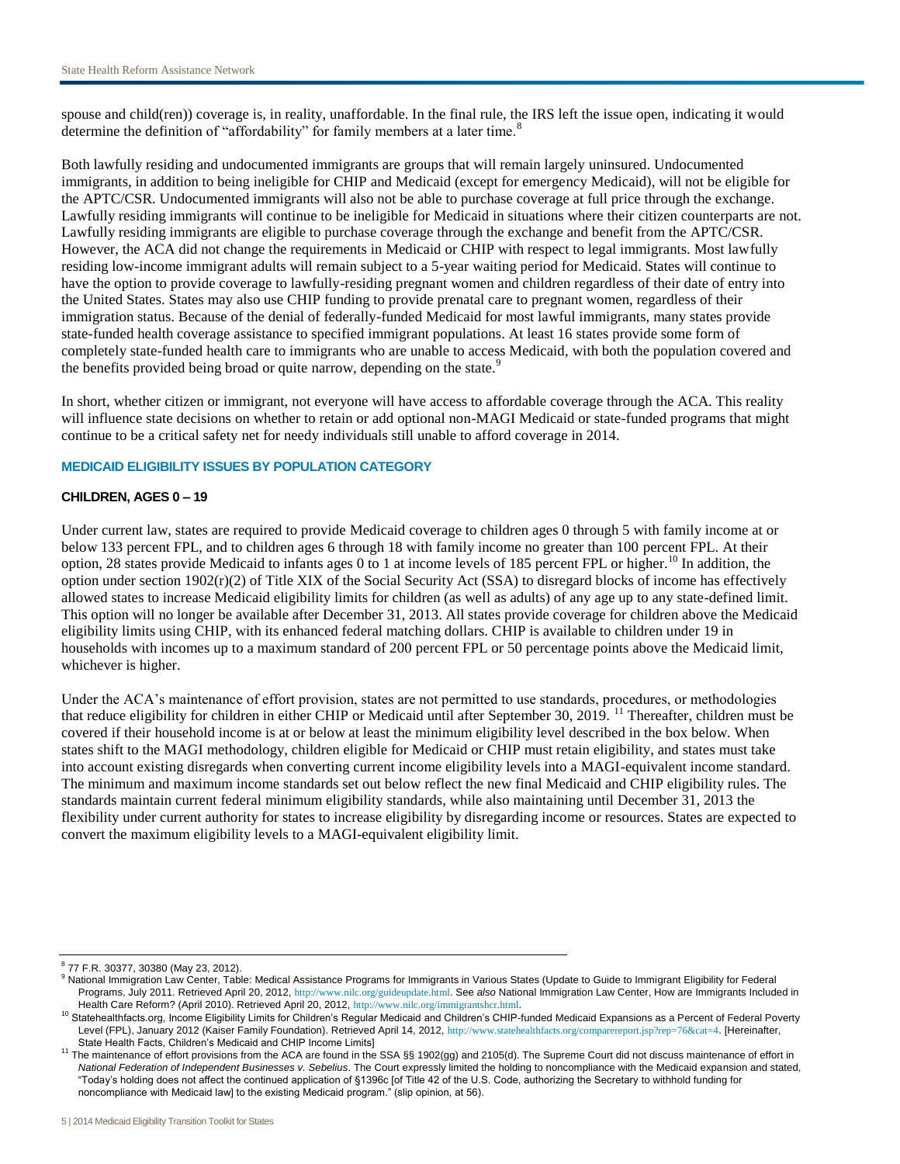spouse and child(ren)) coverage is, in reality, unaffordable. In the final rule, the IRS left the issue open, indicating it would determine the definition of "affordability" for family members at a later time.<sup>8</sup>

Both lawfully residing and undocumented immigrants are groups that will remain largely uninsured. Undocumented immigrants, in addition to being ineligible for CHIP and Medicaid (except for emergency Medicaid), will not be eligible for the APTC/CSR. Undocumented immigrants will also not be able to purchase coverage at full price through the exchange. Lawfully residing immigrants will continue to be ineligible for Medicaid in situations where their citizen counterparts are not. Lawfully residing immigrants are eligible to purchase coverage through the exchange and benefit from the APTC/CSR. However, the ACA did not change the requirements in Medicaid or CHIP with respect to legal immigrants. Most lawfully residing low-income immigrant adults will remain subject to a 5-year waiting period for Medicaid. States will continue to have the option to provide coverage to lawfully-residing pregnant women and children regardless of their date of entry into the United States. States may also use CHIP funding to provide prenatal care to pregnant women, regardless of their immigration status. Because of the denial of federally-funded Medicaid for most lawful immigrants, many states provide state-funded health coverage assistance to specified immigrant populations. At least 16 states provide some form of completely state-funded health care to immigrants who are unable to access Medicaid, with both the population covered and the benefits provided being broad or quite narrow, depending on the state.<sup>9</sup>

In short, whether citizen or immigrant, not everyone will have access to affordable coverage through the ACA. This reality will influence state decisions on whether to retain or add optional non-MAGI Medicaid or state-funded programs that might continue to be a critical safety net for needy individuals still unable to afford coverage in 2014.

### **MEDICAID ELIGIBILITY ISSUES BY POPULATION CATEGORY**

### **CHILDREN, AGES 0 – 19**

Under current law, states are required to provide Medicaid coverage to children ages 0 through 5 with family income at or below 133 percent FPL, and to children ages 6 through 18 with family income no greater than 100 percent FPL. At their option, 28 states provide Medicaid to infants ages 0 to 1 at income levels of 185 percent FPL or higher.<sup>10</sup> In addition, the option under section  $1902(r)(2)$  of Title XIX of the Social Security Act (SSA) to disregard blocks of income has effectively allowed states to increase Medicaid eligibility limits for children (as well as adults) of any age up to any state-defined limit. This option will no longer be available after December 31, 2013. All states provide coverage for children above the Medicaid eligibility limits using CHIP, with its enhanced federal matching dollars. CHIP is available to children under 19 in households with incomes up to a maximum standard of 200 percent FPL or 50 percentage points above the Medicaid limit, whichever is higher.

Under the ACA's maintenance of effort provision, states are not permitted to use standards, procedures, or methodologies that reduce eligibility for children in either CHIP or Medicaid until after September 30, 2019. <sup>11</sup> Thereafter, children must be covered if their household income is at or below at least the minimum eligibility level described in the box below. When states shift to the MAGI methodology, children eligible for Medicaid or CHIP must retain eligibility, and states must take into account existing disregards when converting current income eligibility levels into a MAGI-equivalent income standard. The minimum and maximum income standards set out below reflect the new final Medicaid and CHIP eligibility rules. The standards maintain current federal minimum eligibility standards, while also maintaining until December 31, 2013 the flexibility under current authority for states to increase eligibility by disregarding income or resources. States are expected to convert the maximum eligibility levels to a MAGI-equivalent eligibility limit.

<sup>8</sup> 77 F.R. 30377, 30380 (May 23, 2012).

<sup>9</sup> National Immigration Law Center, Table: Medical Assistance Programs for Immigrants in Various States (Update to Guide to Immigrant Eligibility for Federal Programs, July 2011. Retrieved April 20, 2012, <http://www.nilc.org/guideupdate.html>. See *also* National Immigration Law Center, How are Immigrants Included in Health Care Reform? (April 2010). Retrieved April 20, 2012, <http://www.nilc.org/immigrantshcr.html>.

<sup>&</sup>lt;sup>10</sup> Statehealthfacts.org, Income Eligibility Limits for Children's Regular Medicaid and Children's CHIP-funded Medicaid Expansions as a Percent of Federal Poverty Level (FPL), January 2012 (Kaiser Family Foundation). Retrieved April 14, 2012, <http://www.statehealthfacts.org/comparereport.jsp?rep=76&cat=4>. [Hereinafter, State Health Facts, Children's Medicaid and CHIP Income Limits]

<sup>&</sup>lt;sup>11</sup> The maintenance of effort provisions from the ACA are found in the SSA §§ 1902(gg) and 2105(d). The Supreme Court did not discuss maintenance of effort in *National Federation of Independent Businesses v. Sebelius*. The Court expressly limited the holding to noncompliance with the Medicaid expansion and stated, "Today's holding does not affect the continued application of §1396c [of Title 42 of the U.S. Code, authorizing the Secretary to withhold funding for noncompliance with Medicaid law] to the existing Medicaid program." (slip opinion, at 56).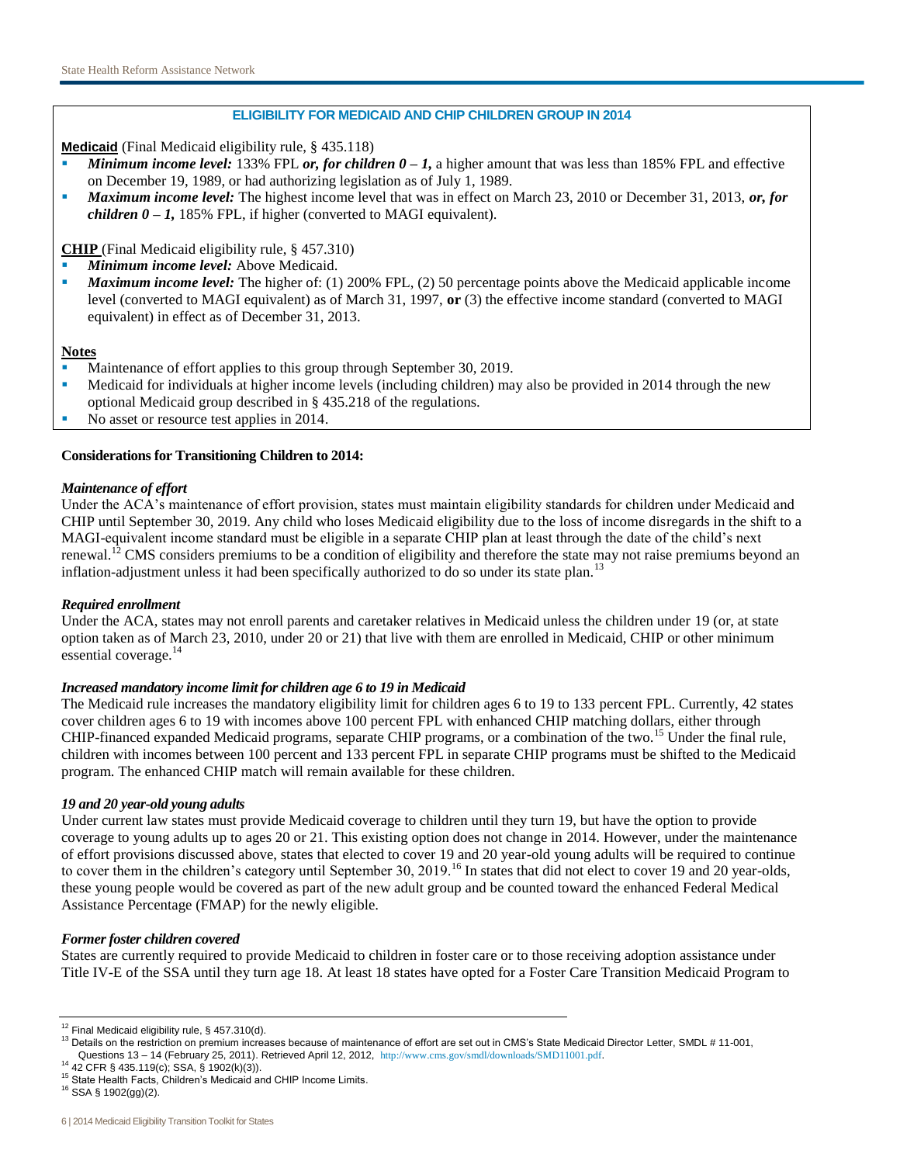# **ELIGIBILITY FOR MEDICAID AND CHIP CHILDREN GROUP IN 2014**

**Medicaid** (Final Medicaid eligibility rule, § 435.118)

- *Minimum income level:* 133% FPL *or, for children 0 – 1,* a higher amount that was less than 185% FPL and effective on December 19, 1989, or had authorizing legislation as of July 1, 1989.
- *Maximum income level:* The highest income level that was in effect on March 23, 2010 or December 31, 2013, *or, for children*  $0 - 1$ *,* 185% FPL, if higher (converted to MAGI equivalent).

**CHIP** (Final Medicaid eligibility rule, § 457.310)

- *Minimum income level:* Above Medicaid.
- *Maximum income level:* The higher of: (1) 200% FPL, (2) 50 percentage points above the Medicaid applicable income level (converted to MAGI equivalent) as of March 31, 1997, **or** (3) the effective income standard (converted to MAGI equivalent) in effect as of December 31, 2013.

## **Notes**

- Maintenance of effort applies to this group through September 30, 2019.
- Medicaid for individuals at higher income levels (including children) may also be provided in 2014 through the new optional Medicaid group described in § 435.218 of the regulations.
- No asset or resource test applies in 2014.

# **Considerations for Transitioning Children to 2014:**

## *Maintenance of effort*

Under the ACA's maintenance of effort provision, states must maintain eligibility standards for children under Medicaid and CHIP until September 30, 2019. Any child who loses Medicaid eligibility due to the loss of income disregards in the shift to a MAGI-equivalent income standard must be eligible in a separate CHIP plan at least through the date of the child's next renewal.<sup>12</sup> CMS considers premiums to be a condition of eligibility and therefore the state may not raise premiums beyond an inflation-adjustment unless it had been specifically authorized to do so under its state plan.<sup>13</sup>

## *Required enrollment*

Under the ACA, states may not enroll parents and caretaker relatives in Medicaid unless the children under 19 (or, at state option taken as of March 23, 2010, under 20 or 21) that live with them are enrolled in Medicaid, CHIP or other minimum essential coverage.<sup>14</sup>

## *Increased mandatory income limit for children age 6 to 19 in Medicaid*

The Medicaid rule increases the mandatory eligibility limit for children ages 6 to 19 to 133 percent FPL. Currently, 42 states cover children ages 6 to 19 with incomes above 100 percent FPL with enhanced CHIP matching dollars, either through CHIP-financed expanded Medicaid programs, separate CHIP programs, or a combination of the two.<sup>15</sup> Under the final rule, children with incomes between 100 percent and 133 percent FPL in separate CHIP programs must be shifted to the Medicaid program. The enhanced CHIP match will remain available for these children.

## *19 and 20 year-old young adults*

Under current law states must provide Medicaid coverage to children until they turn 19, but have the option to provide coverage to young adults up to ages 20 or 21. This existing option does not change in 2014. However, under the maintenance of effort provisions discussed above, states that elected to cover 19 and 20 year-old young adults will be required to continue to cover them in the children's category until September 30, 2019.<sup>16</sup> In states that did not elect to cover 19 and 20 year-olds, these young people would be covered as part of the new adult group and be counted toward the enhanced Federal Medical Assistance Percentage (FMAP) for the newly eligible.

## *Former foster children covered*

States are currently required to provide Medicaid to children in foster care or to those receiving adoption assistance under Title IV-E of the SSA until they turn age 18. At least 18 states have opted for a Foster Care Transition Medicaid Program to

 $12$  Final Medicaid eligibility rule, § 457.310(d).

<sup>&</sup>lt;sup>13</sup> Details on the restriction on premium increases because of maintenance of effort are set out in CMS's State Medicaid Director Letter, SMDL # 11-001, Questions 13 – 14 (February 25, 2011). Retrieved April 12, 2012, <http://www.cms.gov/smdl/downloads/SMD11001.pdf>.

<sup>14</sup> 42 CFR § 435.119(c); SSA, § 1902(k)(3)).

<sup>15</sup> State Health Facts, Children's Medicaid and CHIP Income Limits.

<sup>16</sup> SSA § 1902(gg)(2).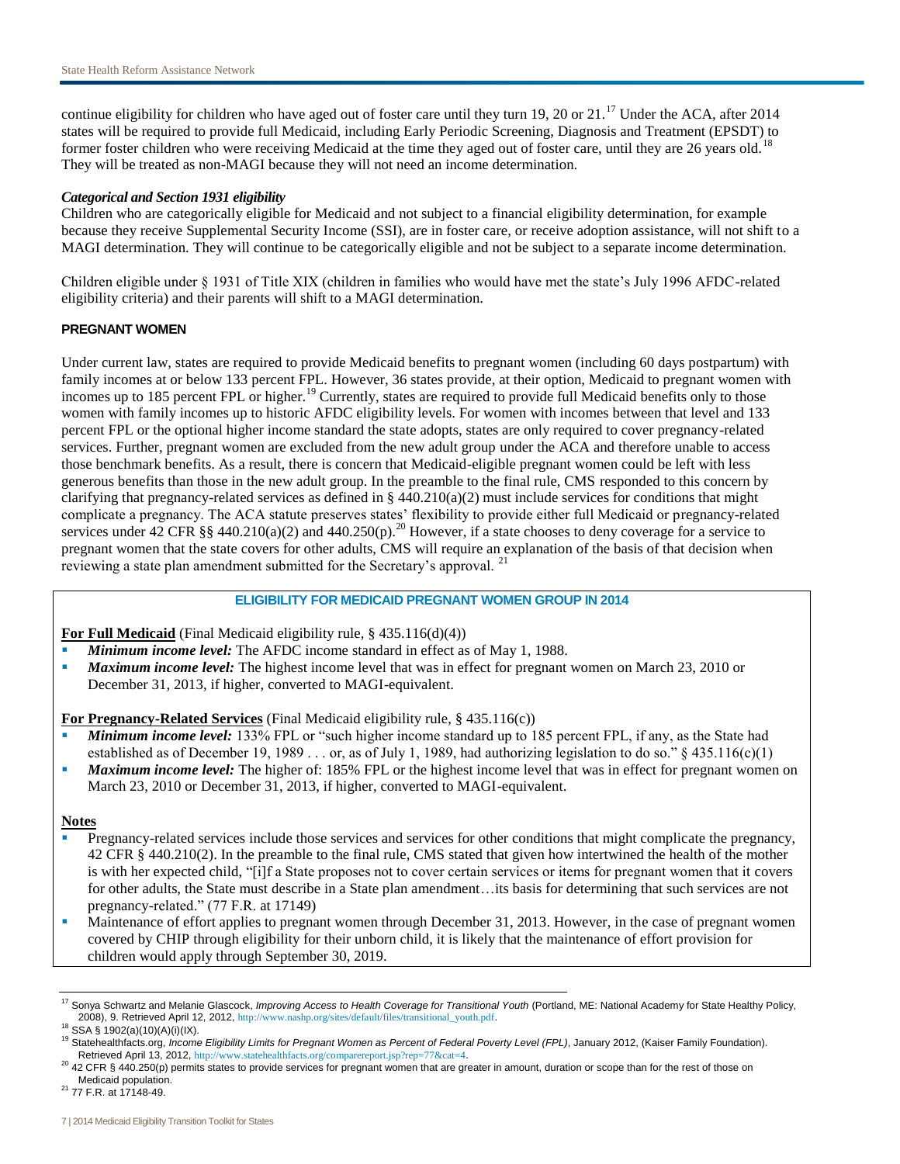continue eligibility for children who have aged out of foster care until they turn 19, 20 or  $21$ .<sup>17</sup> Under the ACA, after 2014 states will be required to provide full Medicaid, including Early Periodic Screening, Diagnosis and Treatment (EPSDT) to former foster children who were receiving Medicaid at the time they aged out of foster care, until they are 26 years old.<sup>18</sup> They will be treated as non-MAGI because they will not need an income determination.

## *Categorical and Section 1931 eligibility*

Children who are categorically eligible for Medicaid and not subject to a financial eligibility determination, for example because they receive Supplemental Security Income (SSI), are in foster care, or receive adoption assistance, will not shift to a MAGI determination. They will continue to be categorically eligible and not be subject to a separate income determination.

Children eligible under § 1931 of Title XIX (children in families who would have met the state's July 1996 AFDC-related eligibility criteria) and their parents will shift to a MAGI determination.

### **PREGNANT WOMEN**

Under current law, states are required to provide Medicaid benefits to pregnant women (including 60 days postpartum) with family incomes at or below 133 percent FPL. However, 36 states provide, at their option, Medicaid to pregnant women with incomes up to 185 percent FPL or higher.<sup>19</sup> Currently, states are required to provide full Medicaid benefits only to those women with family incomes up to historic AFDC eligibility levels. For women with incomes between that level and 133 percent FPL or the optional higher income standard the state adopts, states are only required to cover pregnancy-related services. Further, pregnant women are excluded from the new adult group under the ACA and therefore unable to access those benchmark benefits. As a result, there is concern that Medicaid-eligible pregnant women could be left with less generous benefits than those in the new adult group. In the preamble to the final rule, CMS responded to this concern by clarifying that pregnancy-related services as defined in §  $440.210(a)(2)$  must include services for conditions that might complicate a pregnancy. The ACA statute preserves states' flexibility to provide either full Medicaid or pregnancy-related services under 42 CFR §§ 440.210(a)(2) and 440.250(p).<sup>20</sup> However, if a state chooses to deny coverage for a service to pregnant women that the state covers for other adults, CMS will require an explanation of the basis of that decision when reviewing a state plan amendment submitted for the Secretary's approval.<sup>21</sup>

# **ELIGIBILITY FOR MEDICAID PREGNANT WOMEN GROUP IN 2014**

**For Full Medicaid** (Final Medicaid eligibility rule, § 435.116(d)(4))

- *Minimum income level:* The AFDC income standard in effect as of May 1, 1988.
- *Maximum income level:* The highest income level that was in effect for pregnant women on March 23, 2010 or
- December 31, 2013, if higher, converted to MAGI-equivalent.

**For Pregnancy-Related Services** (Final Medicaid eligibility rule, § 435.116(c))

- *Minimum income level:* 133% FPL or "such higher income standard up to 185 percent FPL, if any, as the State had established as of December 19, 1989 . . . or, as of July 1, 1989, had authorizing legislation to do so."  $\S$  435.116(c)(1)
- **Maximum income level:** The higher of: 185% FPL or the highest income level that was in effect for pregnant women on March 23, 2010 or December 31, 2013, if higher, converted to MAGI-equivalent.

#### **Notes**

- Pregnancy-related services include those services and services for other conditions that might complicate the pregnancy, 42 CFR § 440.210(2). In the preamble to the final rule, CMS stated that given how intertwined the health of the mother is with her expected child, "[i]f a State proposes not to cover certain services or items for pregnant women that it covers for other adults, the State must describe in a State plan amendment...its basis for determining that such services are not pregnancy-related." (77 F.R. at 17149)
- Maintenance of effort applies to pregnant women through December 31, 2013. However, in the case of pregnant women covered by CHIP through eligibility for their unborn child, it is likely that the maintenance of effort provision for children would apply through September 30, 2019.

<sup>&</sup>lt;sup>17</sup> Sonya Schwartz and Melanie Glascock, *Improving Access to Health Coverage for Transitional Youth* (Portland, ME: National Academy for State Healthy Policy, 2008), 9. Retrieved April 12, 2012, [http://www.nashp.org/sites/default/files/transitional\\_youth.pdf](http://www.nashp.org/sites/default/files/transitional_youth.pdf).

<sup>18</sup> SSA § 1902(a)(10)(A)(i)(IX).

<sup>19</sup> Statehealthfacts.org, *Income Eligibility Limits for Pregnant Women as Percent of Federal Poverty Level (FPL)*, January 2012, (Kaiser Family Foundation). Retrieved April 13, 2012, <http://www.statehealthfacts.org/comparereport.jsp?rep=77&cat=4>.

 $^{20}$  42 CFR § 440.250(p) permits states to provide services for pregnant women that are greater in amount, duration or scope than for the rest of those on Medicaid population.

<sup>21</sup> 77 F.R. at 17148-49.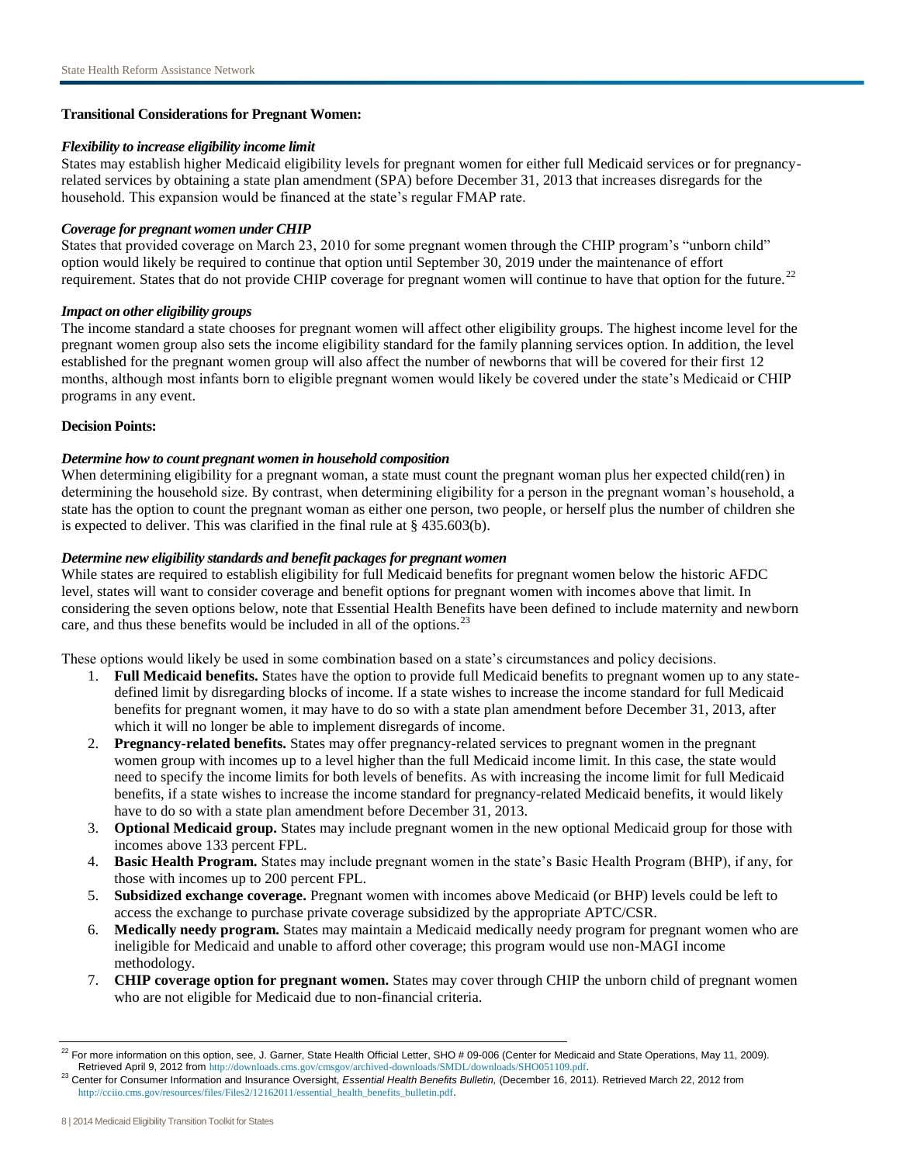## **Transitional Considerations for Pregnant Women:**

#### *Flexibility to increase eligibility income limit*

States may establish higher Medicaid eligibility levels for pregnant women for either full Medicaid services or for pregnancyrelated services by obtaining a state plan amendment (SPA) before December 31, 2013 that increases disregards for the household. This expansion would be financed at the state's regular FMAP rate.

### *Coverage for pregnant women under CHIP*

States that provided coverage on March 23, 2010 for some pregnant women through the CHIP program's "unborn child" option would likely be required to continue that option until September 30, 2019 under the maintenance of effort requirement. States that do not provide CHIP coverage for pregnant women will continue to have that option for the future.<sup>22</sup>

### *Impact on other eligibility groups*

The income standard a state chooses for pregnant women will affect other eligibility groups. The highest income level for the pregnant women group also sets the income eligibility standard for the family planning services option. In addition, the level established for the pregnant women group will also affect the number of newborns that will be covered for their first 12 months, although most infants born to eligible pregnant women would likely be covered under the state's Medicaid or CHIP programs in any event.

### **Decision Points:**

## *Determine how to count pregnant women in household composition*

When determining eligibility for a pregnant woman, a state must count the pregnant woman plus her expected child(ren) in determining the household size. By contrast, when determining eligibility for a person in the pregnant woman's household, a state has the option to count the pregnant woman as either one person, two people, or herself plus the number of children she is expected to deliver. This was clarified in the final rule at § 435.603(b).

### *Determine new eligibility standards and benefit packages for pregnant women*

While states are required to establish eligibility for full Medicaid benefits for pregnant women below the historic AFDC level, states will want to consider coverage and benefit options for pregnant women with incomes above that limit. In considering the seven options below, note that Essential Health Benefits have been defined to include maternity and newborn care, and thus these benefits would be included in all of the options.<sup>23</sup>

These options would likely be used in some combination based on a state's circumstances and policy decisions.

- 1. **Full Medicaid benefits.** States have the option to provide full Medicaid benefits to pregnant women up to any statedefined limit by disregarding blocks of income. If a state wishes to increase the income standard for full Medicaid benefits for pregnant women, it may have to do so with a state plan amendment before December 31, 2013, after which it will no longer be able to implement disregards of income.
- 2. **Pregnancy-related benefits.** States may offer pregnancy-related services to pregnant women in the pregnant women group with incomes up to a level higher than the full Medicaid income limit. In this case, the state would need to specify the income limits for both levels of benefits. As with increasing the income limit for full Medicaid benefits, if a state wishes to increase the income standard for pregnancy-related Medicaid benefits, it would likely have to do so with a state plan amendment before December 31, 2013.
- 3. **Optional Medicaid group.** States may include pregnant women in the new optional Medicaid group for those with incomes above 133 percent FPL.
- 4. **Basic Health Program.** States may include pregnant women in the state's Basic Health Program (BHP), if any, for those with incomes up to 200 percent FPL.
- 5. **Subsidized exchange coverage.** Pregnant women with incomes above Medicaid (or BHP) levels could be left to access the exchange to purchase private coverage subsidized by the appropriate APTC/CSR.
- 6. **Medically needy program.** States may maintain a Medicaid medically needy program for pregnant women who are ineligible for Medicaid and unable to afford other coverage; this program would use non-MAGI income methodology.
- 7. **CHIP coverage option for pregnant women.** States may cover through CHIP the unborn child of pregnant women who are not eligible for Medicaid due to non-financial criteria.

 $^{22}$  For more information on this option, see, J. Garner, State Health Official Letter, SHO # 09-006 (Center for Medicaid and State Operations, May 11, 2009). Retrieved April 9, 2012 from <http://downloads.cms.gov/cmsgov/archived-downloads/SMDL/downloads/SHO051109.pdf>.

<sup>23</sup> Center for Consumer Information and Insurance Oversight, *Essential Health Benefits Bulletin,* (December 16, 2011). Retrieved March 22, 2012 from [http://cciio.cms.gov/resources/files/Files2/12162011/essential\\_health\\_benefits\\_bulletin.pdf](http://cciio.cms.gov/resources/files/Files2/12162011/essential_health_benefits_bulletin.pdf).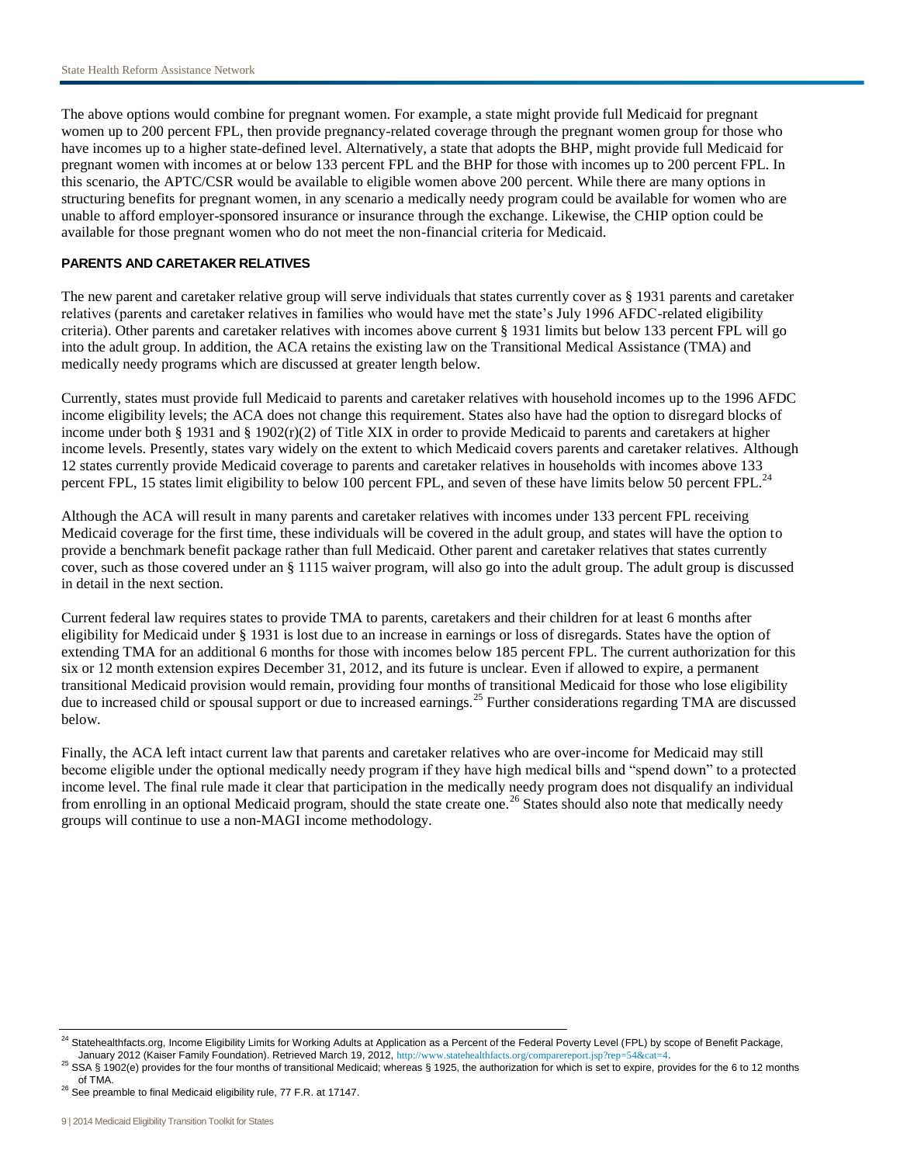The above options would combine for pregnant women. For example, a state might provide full Medicaid for pregnant women up to 200 percent FPL, then provide pregnancy-related coverage through the pregnant women group for those who have incomes up to a higher state-defined level. Alternatively, a state that adopts the BHP, might provide full Medicaid for pregnant women with incomes at or below 133 percent FPL and the BHP for those with incomes up to 200 percent FPL. In this scenario, the APTC/CSR would be available to eligible women above 200 percent. While there are many options in structuring benefits for pregnant women, in any scenario a medically needy program could be available for women who are unable to afford employer-sponsored insurance or insurance through the exchange. Likewise, the CHIP option could be available for those pregnant women who do not meet the non-financial criteria for Medicaid.

## **PARENTS AND CARETAKER RELATIVES**

The new parent and caretaker relative group will serve individuals that states currently cover as § 1931 parents and caretaker relatives (parents and caretaker relatives in families who would have met the state's July 1996 AFDC-related eligibility criteria). Other parents and caretaker relatives with incomes above current § 1931 limits but below 133 percent FPL will go into the adult group. In addition, the ACA retains the existing law on the Transitional Medical Assistance (TMA) and medically needy programs which are discussed at greater length below.

Currently, states must provide full Medicaid to parents and caretaker relatives with household incomes up to the 1996 AFDC income eligibility levels; the ACA does not change this requirement. States also have had the option to disregard blocks of income under both § 1931 and § 1902 $(r)(2)$  of Title XIX in order to provide Medicaid to parents and caretakers at higher income levels. Presently, states vary widely on the extent to which Medicaid covers parents and caretaker relatives. Although 12 states currently provide Medicaid coverage to parents and caretaker relatives in households with incomes above 133 percent FPL, 15 states limit eligibility to below 100 percent FPL, and seven of these have limits below 50 percent FPL.<sup>24</sup>

Although the ACA will result in many parents and caretaker relatives with incomes under 133 percent FPL receiving Medicaid coverage for the first time, these individuals will be covered in the adult group, and states will have the option to provide a benchmark benefit package rather than full Medicaid. Other parent and caretaker relatives that states currently cover, such as those covered under an § 1115 waiver program, will also go into the adult group. The adult group is discussed in detail in the next section.

Current federal law requires states to provide TMA to parents, caretakers and their children for at least 6 months after eligibility for Medicaid under § 1931 is lost due to an increase in earnings or loss of disregards. States have the option of extending TMA for an additional 6 months for those with incomes below 185 percent FPL. The current authorization for this six or 12 month extension expires December 31, 2012, and its future is unclear. Even if allowed to expire, a permanent transitional Medicaid provision would remain, providing four months of transitional Medicaid for those who lose eligibility due to increased child or spousal support or due to increased earnings.<sup>25</sup> Further considerations regarding TMA are discussed below.

Finally, the ACA left intact current law that parents and caretaker relatives who are over-income for Medicaid may still become eligible under the optional medically needy program if they have high medical bills and "spend down" to a protected income level. The final rule made it clear that participation in the medically needy program does not disqualify an individual from enrolling in an optional Medicaid program, should the state create one.<sup>26</sup> States should also note that medically needy groups will continue to use a non-MAGI income methodology.

<sup>&</sup>lt;sup>24</sup> Statehealthfacts.org, Income Eligibility Limits for Working Adults at Application as a Percent of the Federal Poverty Level (FPL) by scope of Benefit Package, January 2012 (Kaiser Family Foundation). Retrieved March 19, 2012, <http://www.statehealthfacts.org/comparereport.jsp?rep=54&cat=4>.

 $^{25}$  SSA § 1902(e) provides for the four months of transitional Medicaid; whereas § 1925, the authorization for which is set to expire, provides for the 6 to 12 months of TMA.

 $26$  See preamble to final Medicaid eligibility rule, 77 F.R. at 17147.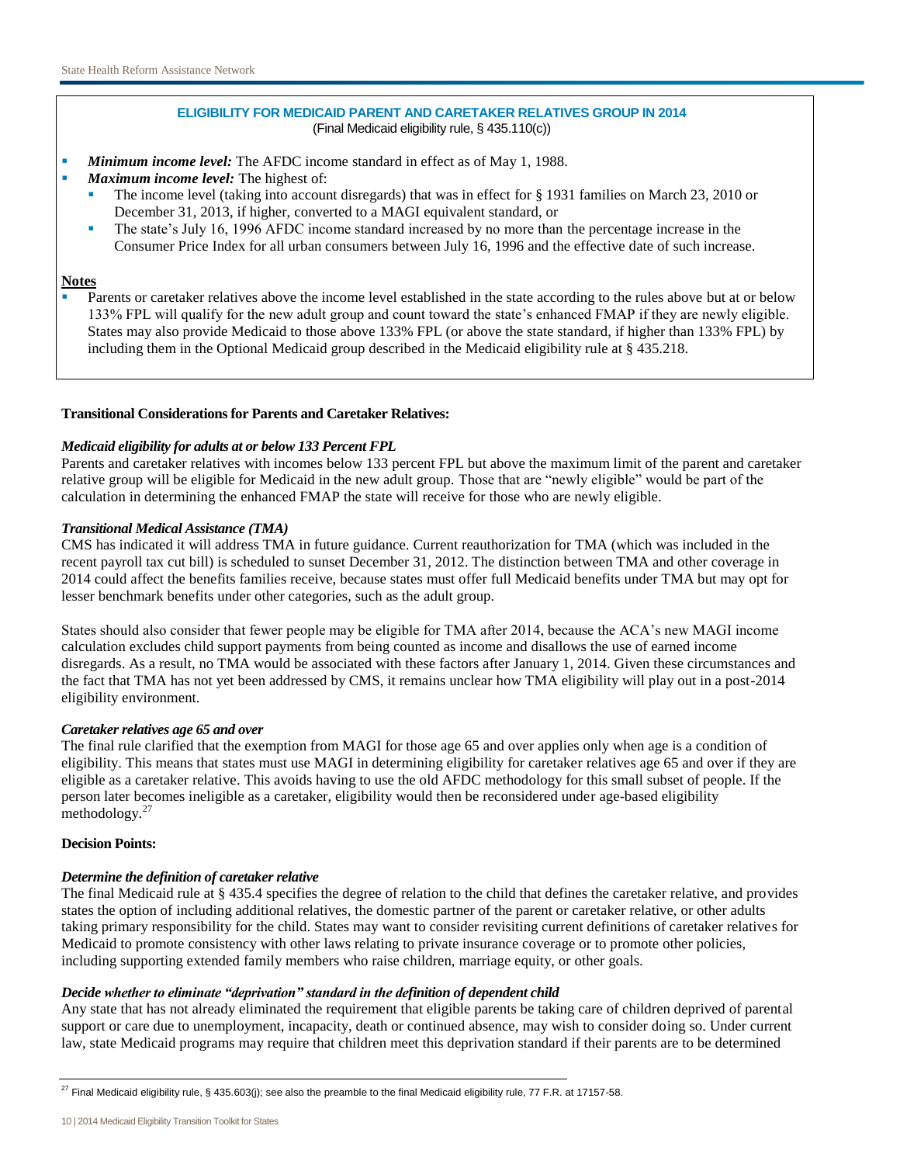# **ELIGIBILITY FOR MEDICAID PARENT AND CARETAKER RELATIVES GROUP IN 2014** (Final Medicaid eligibility rule, § 435.110(c))

- *Minimum income level:* The AFDC income standard in effect as of May 1, 1988.
- *Maximum income level:* The highest of:
	- The income level (taking into account disregards) that was in effect for § 1931 families on March 23, 2010 or December 31, 2013, if higher, converted to a MAGI equivalent standard, or
	- The state's July 16, 1996 AFDC income standard increased by no more than the percentage increase in the Consumer Price Index for all urban consumers between July 16, 1996 and the effective date of such increase.

## **Notes**

 Parents or caretaker relatives above the income level established in the state according to the rules above but at or below 133% FPL will qualify for the new adult group and count toward the state's enhanced FMAP if they are newly eligible. States may also provide Medicaid to those above 133% FPL (or above the state standard, if higher than 133% FPL) by including them in the Optional Medicaid group described in the Medicaid eligibility rule at § 435.218.

# **Transitional Considerations for Parents and Caretaker Relatives:**

# *Medicaid eligibility for adults at or below 133 Percent FPL*

Parents and caretaker relatives with incomes below 133 percent FPL but above the maximum limit of the parent and caretaker relative group will be eligible for Medicaid in the new adult group. Those that are "newly eligible" would be part of the calculation in determining the enhanced FMAP the state will receive for those who are newly eligible.

# *Transitional Medical Assistance (TMA)*

CMS has indicated it will address TMA in future guidance. Current reauthorization for TMA (which was included in the recent payroll tax cut bill) is scheduled to sunset December 31, 2012. The distinction between TMA and other coverage in 2014 could affect the benefits families receive, because states must offer full Medicaid benefits under TMA but may opt for lesser benchmark benefits under other categories, such as the adult group.

States should also consider that fewer people may be eligible for TMA after 2014, because the ACA's new MAGI income calculation excludes child support payments from being counted as income and disallows the use of earned income disregards. As a result, no TMA would be associated with these factors after January 1, 2014. Given these circumstances and the fact that TMA has not yet been addressed by CMS, it remains unclear how TMA eligibility will play out in a post-2014 eligibility environment.

## *Caretaker relatives age 65 and over*

The final rule clarified that the exemption from MAGI for those age 65 and over applies only when age is a condition of eligibility. This means that states must use MAGI in determining eligibility for caretaker relatives age 65 and over if they are eligible as a caretaker relative. This avoids having to use the old AFDC methodology for this small subset of people. If the person later becomes ineligible as a caretaker, eligibility would then be reconsidered under age-based eligibility methodology.<sup>27</sup>

## **Decision Points:**

## *Determine the definition of caretaker relative*

The final Medicaid rule at § 435.4 specifies the degree of relation to the child that defines the caretaker relative, and provides states the option of including additional relatives, the domestic partner of the parent or caretaker relative, or other adults taking primary responsibility for the child. States may want to consider revisiting current definitions of caretaker relatives for Medicaid to promote consistency with other laws relating to private insurance coverage or to promote other policies, including supporting extended family members who raise children, marriage equity, or other goals.

# *Decide whether to eliminate "deprivation" standard in the definition of dependent child*

Any state that has not already eliminated the requirement that eligible parents be taking care of children deprived of parental support or care due to unemployment, incapacity, death or continued absence, may wish to consider doing so. Under current law, state Medicaid programs may require that children meet this deprivation standard if their parents are to be determined

<sup>&</sup>lt;sup>27</sup> Final Medicaid eligibility rule, § 435.603(j); see also the preamble to the final Medicaid eligibility rule, 77 F.R. at 17157-58.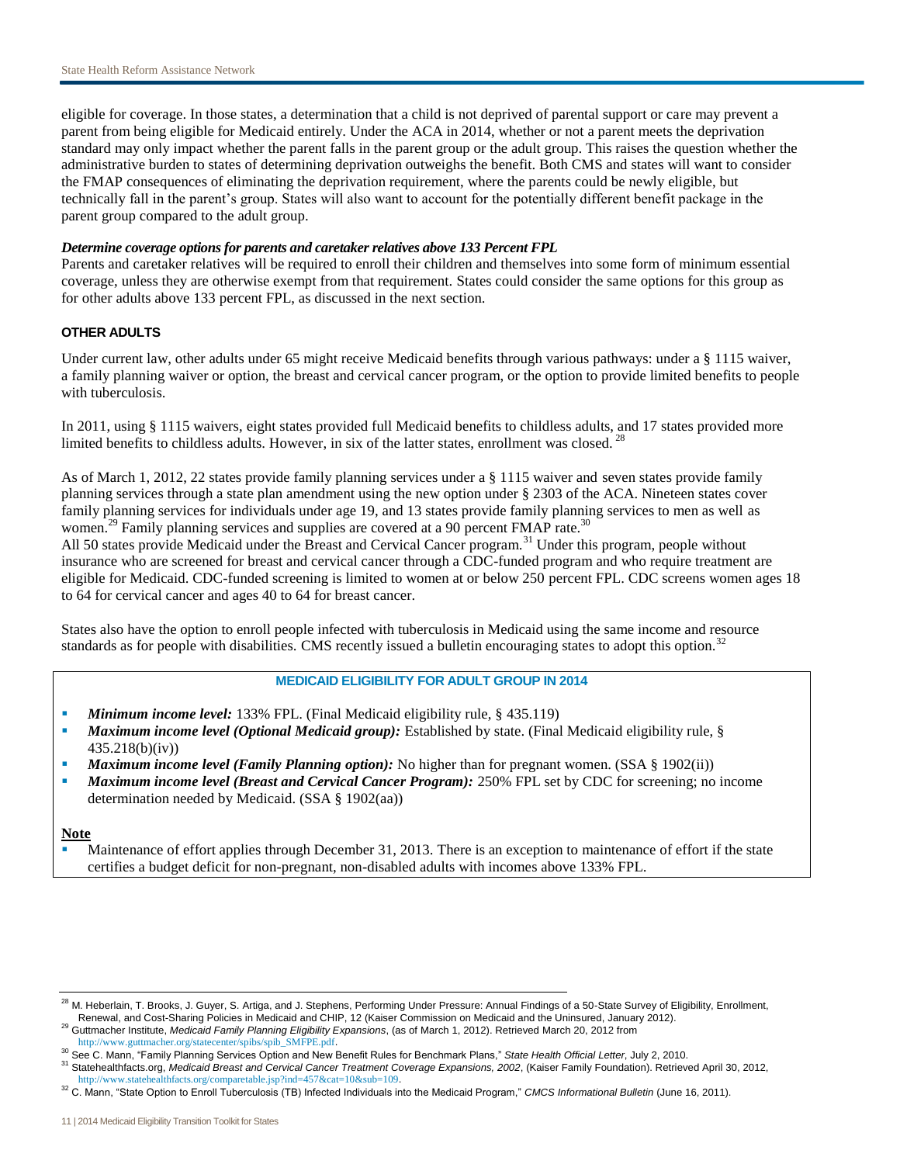eligible for coverage. In those states, a determination that a child is not deprived of parental support or care may prevent a parent from being eligible for Medicaid entirely. Under the ACA in 2014, whether or not a parent meets the deprivation standard may only impact whether the parent falls in the parent group or the adult group. This raises the question whether the administrative burden to states of determining deprivation outweighs the benefit. Both CMS and states will want to consider the FMAP consequences of eliminating the deprivation requirement, where the parents could be newly eligible, but technically fall in the parent's group. States will also want to account for the potentially different benefit package in the parent group compared to the adult group.

## *Determine coverage options for parents and caretaker relatives above 133 Percent FPL*

Parents and caretaker relatives will be required to enroll their children and themselves into some form of minimum essential coverage, unless they are otherwise exempt from that requirement. States could consider the same options for this group as for other adults above 133 percent FPL, as discussed in the next section.

# **OTHER ADULTS**

Under current law, other adults under 65 might receive Medicaid benefits through various pathways: under a § 1115 waiver, a family planning waiver or option, the breast and cervical cancer program, or the option to provide limited benefits to people with tuberculosis.

In 2011, using § 1115 waivers, eight states provided full Medicaid benefits to childless adults, and 17 states provided more limited benefits to childless adults. However, in six of the latter states, enrollment was closed.<sup>2</sup>

As of March 1, 2012, 22 states provide family planning services under a § 1115 waiver and seven states provide family planning services through a state plan amendment using the new option under § 2303 of the ACA. Nineteen states cover family planning services for individuals under age 19, and 13 states provide family planning services to men as well as women.<sup>29</sup> Family planning services and supplies are covered at a 90 percent FMAP rate.<sup>30</sup>

All 50 states provide Medicaid under the Breast and Cervical Cancer program.<sup>31</sup> Under this program, people without insurance who are screened for breast and cervical cancer through a CDC-funded program and who require treatment are eligible for Medicaid. CDC-funded screening is limited to women at or below 250 percent FPL. CDC screens women ages 18 to 64 for cervical cancer and ages 40 to 64 for breast cancer.

States also have the option to enroll people infected with tuberculosis in Medicaid using the same income and resource standards as for people with disabilities. CMS recently issued a bulletin encouraging states to adopt this option.<sup>32</sup>

# **MEDICAID ELIGIBILITY FOR ADULT GROUP IN 2014**

- *Minimum income level:* 133% FPL. (Final Medicaid eligibility rule, § 435.119)
- *Maximum income level (Optional Medicaid group):* Established by state. (Final Medicaid eligibility rule, § 435.218(b)(iv))
- *Maximum income level (Family Planning option):* No higher than for pregnant women. (SSA § 1902(ii))
- *Maximum income level (Breast and Cervical Cancer Program):* 250% FPL set by CDC for screening; no income determination needed by Medicaid. (SSA § 1902(aa))

#### **Note**

 Maintenance of effort applies through December 31, 2013. There is an exception to maintenance of effort if the state certifies a budget deficit for non-pregnant, non-disabled adults with incomes above 133% FPL.

<sup>&</sup>lt;sup>28</sup> M. Heberlain, T. Brooks, J. Guyer, S. Artiga, and J. Stephens, Performing Under Pressure: Annual Findings of a 50-State Survey of Eligibility, Enrollment, Renewal, and Cost-Sharing Policies in Medicaid and CHIP, 12 (Kaiser Commission on Medicaid and the Uninsured, January 2012).

<sup>29</sup> Guttmacher Institute, *Medicaid Family Planning Eligibility Expansions*, (as of March 1, 2012). Retrieved March 20, 2012 from [http://www.guttmacher.org/statecenter/spibs/spib\\_SMFPE.pdf](http://www.guttmacher.org/statecenter/spibs/spib_SMFPE.pdf).

<sup>30</sup> See C. Mann, "Family Planning Services Option and New Benefit Rules for Benchmark Plans," *State Health Official Letter*, July 2, 2010.

<sup>31</sup> Statehealthfacts.org, *Medicaid Breast and Cervical Cancer Treatment Coverage Expansions, 2002*, (Kaiser Family Foundation). Retrieved April 30, 2012, <http://www.statehealthfacts.org/comparetable.jsp?ind=457&cat=10&sub=109>.

<sup>32</sup> C. Mann, "State Option to Enroll Tuberculosis (TB) Infected Individuals into the Medicaid Program," *CMCS Informational Bulletin* (June 16, 2011).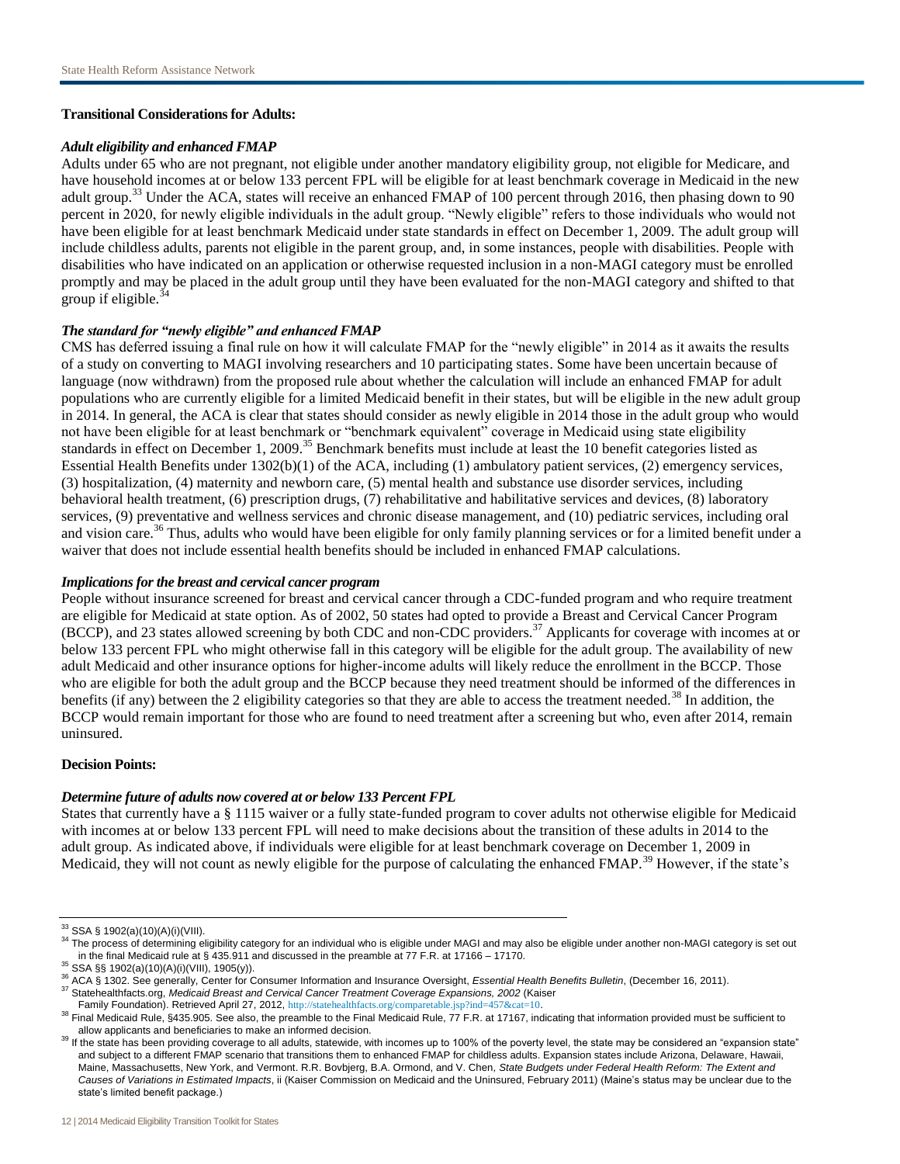## **Transitional Considerations for Adults:**

#### *Adult eligibility and enhanced FMAP*

Adults under 65 who are not pregnant, not eligible under another mandatory eligibility group, not eligible for Medicare, and have household incomes at or below 133 percent FPL will be eligible for at least benchmark coverage in Medicaid in the new adult group.<sup>33</sup> Under the ACA, states will receive an enhanced FMAP of 100 percent through 2016, then phasing down to 90 percent in 2020, for newly eligible individuals in the adult group. "Newly eligible" refers to those individuals who would not have been eligible for at least benchmark Medicaid under state standards in effect on December 1, 2009. The adult group will include childless adults, parents not eligible in the parent group, and, in some instances, people with disabilities. People with disabilities who have indicated on an application or otherwise requested inclusion in a non-MAGI category must be enrolled promptly and may be placed in the adult group until they have been evaluated for the non-MAGI category and shifted to that group if eligible. $34$ 

## *The standard for "newly eligible" and enhanced FMAP*

CMS has deferred issuing a final rule on how it will calculate FMAP for the "newly eligible" in 2014 as it awaits the results of a study on converting to MAGI involving researchers and 10 participating states. Some have been uncertain because of language (now withdrawn) from the proposed rule about whether the calculation will include an enhanced FMAP for adult populations who are currently eligible for a limited Medicaid benefit in their states, but will be eligible in the new adult group in 2014. In general, the ACA is clear that states should consider as newly eligible in 2014 those in the adult group who would not have been eligible for at least benchmark or "benchmark equivalent" coverage in Medicaid using state eligibility standards in effect on December 1, 2009.<sup>35</sup> Benchmark benefits must include at least the 10 benefit categories listed as Essential Health Benefits under 1302(b)(1) of the ACA, including (1) ambulatory patient services, (2) emergency services, (3) hospitalization, (4) maternity and newborn care, (5) mental health and substance use disorder services, including behavioral health treatment, (6) prescription drugs, (7) rehabilitative and habilitative services and devices, (8) laboratory services, (9) preventative and wellness services and chronic disease management, and (10) pediatric services, including oral and vision care.<sup>36</sup> Thus, adults who would have been eligible for only family planning services or for a limited benefit under a waiver that does not include essential health benefits should be included in enhanced FMAP calculations.

#### *Implications for the breast and cervical cancer program*

People without insurance screened for breast and cervical cancer through a CDC-funded program and who require treatment are eligible for Medicaid at state option. As of 2002, 50 states had opted to provide a Breast and Cervical Cancer Program (BCCP), and 23 states allowed screening by both CDC and non-CDC providers.<sup>37</sup> Applicants for coverage with incomes at or below 133 percent FPL who might otherwise fall in this category will be eligible for the adult group. The availability of new adult Medicaid and other insurance options for higher-income adults will likely reduce the enrollment in the BCCP. Those who are eligible for both the adult group and the BCCP because they need treatment should be informed of the differences in benefits (if any) between the 2 eligibility categories so that they are able to access the treatment needed.<sup>38</sup> In addition, the BCCP would remain important for those who are found to need treatment after a screening but who, even after 2014, remain uninsured.

## **Decision Points:**

## *Determine future of adults now covered at or below 133 Percent FPL*

States that currently have a § 1115 waiver or a fully state-funded program to cover adults not otherwise eligible for Medicaid with incomes at or below 133 percent FPL will need to make decisions about the transition of these adults in 2014 to the adult group. As indicated above, if individuals were eligible for at least benchmark coverage on December 1, 2009 in Medicaid, they will not count as newly eligible for the purpose of calculating the enhanced FMAP.<sup>39</sup> However, if the state's

<sup>33</sup> SSA § 1902(a)(10)(A)(i)(VIII).

<sup>&</sup>lt;sup>34</sup> The process of determining eligibility category for an individual who is eligible under MAGI and may also be eligible under another non-MAGI category is set out in the final Medicaid rule at § 435.911 and discussed in the preamble at 77 F.R. at 17166 – 17170.

<sup>35</sup> SSA §§ 1902(a)(10)(A)(i)(VIII), 1905(y)).

<sup>36</sup> ACA § 1302. See generally, Center for Consumer Information and Insurance Oversight, *Essential Health Benefits Bulletin*, (December 16, 2011). <sup>37</sup> Statehealthfacts.org, *Medicaid Breast and Cervical Cancer Treatment Coverage Expansions, 2002* (Kaiser

Family Foundation). Retrieved April 27, 2012, <http://statehealthfacts.org/comparetable.jsp?ind=457&cat=10>.

<sup>&</sup>lt;sup>38</sup> Final Medicaid Rule, §435.905. See also, the preamble to the Final Medicaid Rule, 77 F.R. at 17167, indicating that information provided must be sufficient to allow applicants and beneficiaries to make an informed decision.

<sup>&</sup>lt;sup>39</sup> If the state has been providing coverage to all adults, statewide, with incomes up to 100% of the poverty level, the state may be considered an "expansion state" and subject to a different FMAP scenario that transitions them to enhanced FMAP for childless adults. Expansion states include Arizona, Delaware, Hawaii, Maine, Massachusetts, New York, and Vermont. R.R. Bovbjerg, B.A. Ormond, and V. Chen*, State Budgets under Federal Health Reform: The Extent and Causes of Variations in Estimated Impacts*, ii (Kaiser Commission on Medicaid and the Uninsured, February 2011) (Maine's status may be unclear due to the state's limited benefit package.)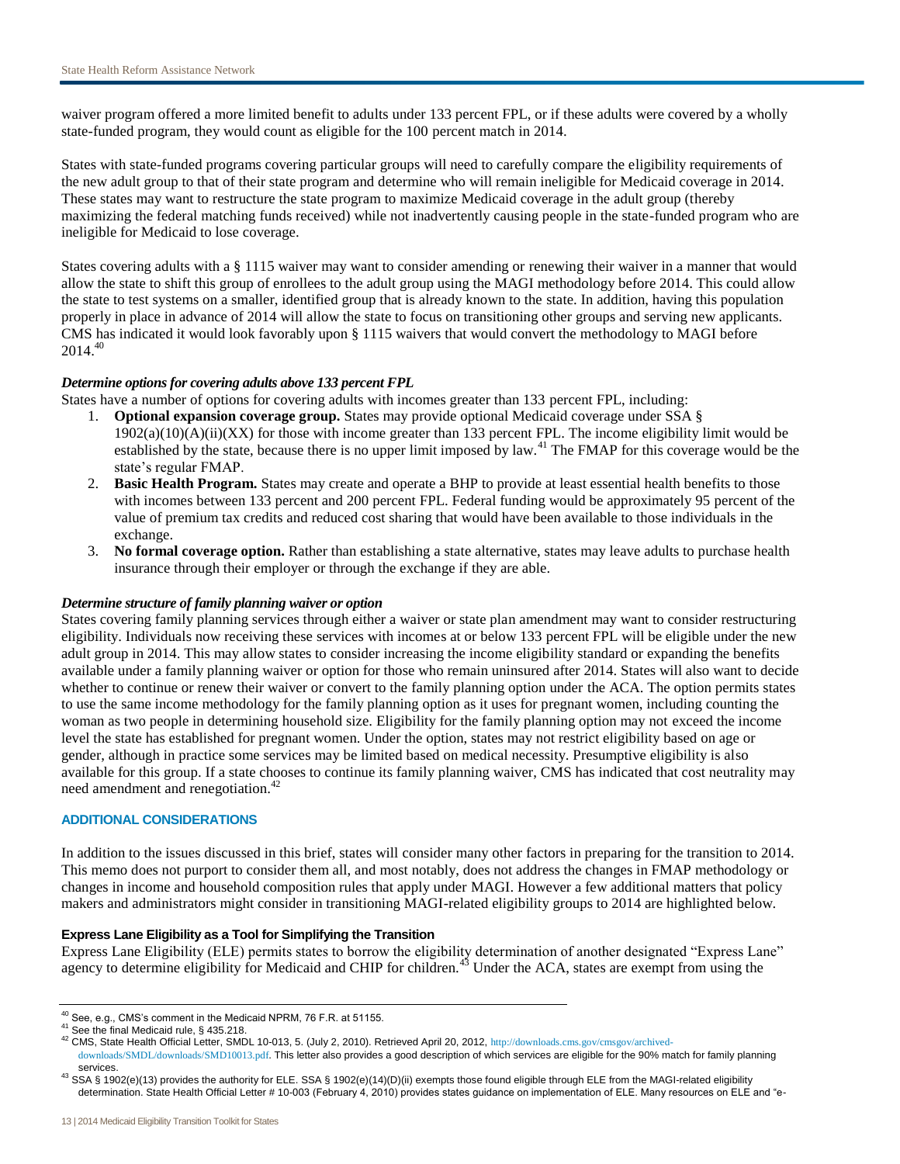waiver program offered a more limited benefit to adults under 133 percent FPL, or if these adults were covered by a wholly state-funded program, they would count as eligible for the 100 percent match in 2014.

States with state-funded programs covering particular groups will need to carefully compare the eligibility requirements of the new adult group to that of their state program and determine who will remain ineligible for Medicaid coverage in 2014. These states may want to restructure the state program to maximize Medicaid coverage in the adult group (thereby maximizing the federal matching funds received) while not inadvertently causing people in the state-funded program who are ineligible for Medicaid to lose coverage.

States covering adults with a § 1115 waiver may want to consider amending or renewing their waiver in a manner that would allow the state to shift this group of enrollees to the adult group using the MAGI methodology before 2014. This could allow the state to test systems on a smaller, identified group that is already known to the state. In addition, having this population properly in place in advance of 2014 will allow the state to focus on transitioning other groups and serving new applicants. CMS has indicated it would look favorably upon § 1115 waivers that would convert the methodology to MAGI before  $2014.<sup>40</sup>$ 

# *Determine options for covering adults above 133 percent FPL*

States have a number of options for covering adults with incomes greater than 133 percent FPL, including:

- 1. **Optional expansion coverage group.** States may provide optional Medicaid coverage under SSA §  $1902(a)(10)(A)(ii)(XX)$  for those with income greater than 133 percent FPL. The income eligibility limit would be established by the state, because there is no upper limit imposed by law.<sup>41</sup> The FMAP for this coverage would be the state's regular FMAP.
- 2. **Basic Health Program.** States may create and operate a BHP to provide at least essential health benefits to those with incomes between 133 percent and 200 percent FPL. Federal funding would be approximately 95 percent of the value of premium tax credits and reduced cost sharing that would have been available to those individuals in the exchange.
- 3. **No formal coverage option.** Rather than establishing a state alternative, states may leave adults to purchase health insurance through their employer or through the exchange if they are able.

## *Determine structure of family planning waiver or option*

States covering family planning services through either a waiver or state plan amendment may want to consider restructuring eligibility. Individuals now receiving these services with incomes at or below 133 percent FPL will be eligible under the new adult group in 2014. This may allow states to consider increasing the income eligibility standard or expanding the benefits available under a family planning waiver or option for those who remain uninsured after 2014. States will also want to decide whether to continue or renew their waiver or convert to the family planning option under the ACA. The option permits states to use the same income methodology for the family planning option as it uses for pregnant women, including counting the woman as two people in determining household size. Eligibility for the family planning option may not exceed the income level the state has established for pregnant women. Under the option, states may not restrict eligibility based on age or gender, although in practice some services may be limited based on medical necessity. Presumptive eligibility is also available for this group. If a state chooses to continue its family planning waiver, CMS has indicated that cost neutrality may need amendment and renegotiation.<sup>42</sup>

## **ADDITIONAL CONSIDERATIONS**

In addition to the issues discussed in this brief, states will consider many other factors in preparing for the transition to 2014. This memo does not purport to consider them all, and most notably, does not address the changes in FMAP methodology or changes in income and household composition rules that apply under MAGI. However a few additional matters that policy makers and administrators might consider in transitioning MAGI-related eligibility groups to 2014 are highlighted below.

## **Express Lane Eligibility as a Tool for Simplifying the Transition**

Express Lane Eligibility (ELE) permits states to borrow the eligibility determination of another designated "Express Lane" agency to determine eligibility for Medicaid and CHIP for children.<sup>43</sup> Under the ACA, states are exempt from using the

<sup>40</sup> See, e.g., CMS's comment in the Medicaid NPRM, 76 F.R. at 51155.

<sup>41</sup> See the final Medicaid rule, § 435.218.

<sup>42</sup> CMS, State Health Official Letter, SMDL 10-013, 5. (July 2, 2010). Retrieved April 20, 2012, [http://downloads.cms.gov/cmsgov/archived](http://downloads.cms.gov/cmsgov/archived-downloads/SMDL/downloads/SMD10013.pdf)[downloads/SMDL/downloads/SMD10013.pdf](http://downloads.cms.gov/cmsgov/archived-downloads/SMDL/downloads/SMD10013.pdf). This letter also provides a good description of which services are eligible for the 90% match for family planning

services.

<sup>&</sup>lt;sup>43</sup> SSA § 1902(e)(13) provides the authority for ELE. SSA § 1902(e)(14)(D)(ii) exempts those found eligible through ELE from the MAGI-related eligibility determination. State Health Official Letter # 10-003 (February 4, 2010) provides states guidance on implementation of ELE. Many resources on ELE and "e-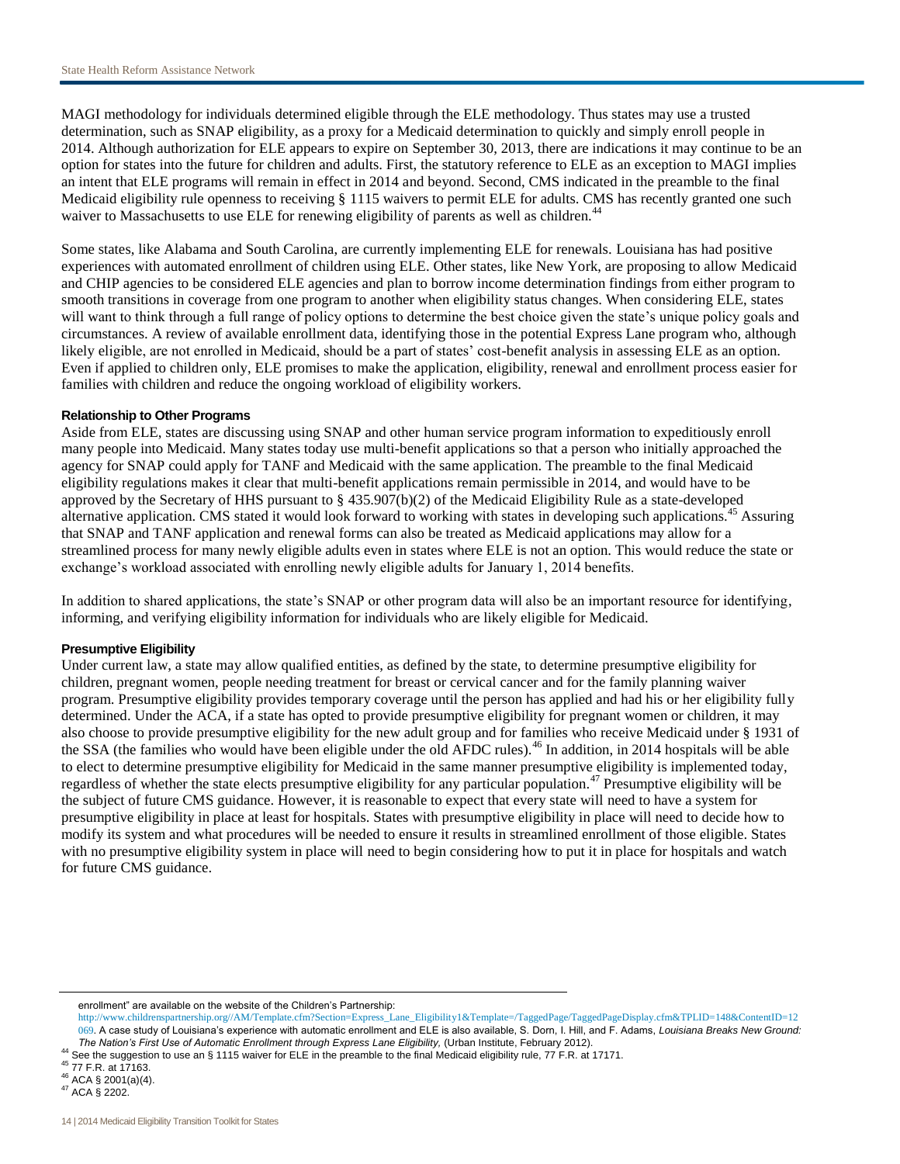MAGI methodology for individuals determined eligible through the ELE methodology. Thus states may use a trusted determination, such as SNAP eligibility, as a proxy for a Medicaid determination to quickly and simply enroll people in 2014. Although authorization for ELE appears to expire on September 30, 2013, there are indications it may continue to be an option for states into the future for children and adults. First, the statutory reference to ELE as an exception to MAGI implies an intent that ELE programs will remain in effect in 2014 and beyond. Second, CMS indicated in the preamble to the final Medicaid eligibility rule openness to receiving § 1115 waivers to permit ELE for adults. CMS has recently granted one such waiver to Massachusetts to use ELE for renewing eligibility of parents as well as children.<sup>44</sup>

Some states, like Alabama and South Carolina, are currently implementing ELE for renewals. Louisiana has had positive experiences with automated enrollment of children using ELE. Other states, like New York, are proposing to allow Medicaid and CHIP agencies to be considered ELE agencies and plan to borrow income determination findings from either program to smooth transitions in coverage from one program to another when eligibility status changes. When considering ELE, states will want to think through a full range of policy options to determine the best choice given the state's unique policy goals and circumstances. A review of available enrollment data, identifying those in the potential Express Lane program who, although likely eligible, are not enrolled in Medicaid, should be a part of states' cost-benefit analysis in assessing ELE as an option. Even if applied to children only, ELE promises to make the application, eligibility, renewal and enrollment process easier for families with children and reduce the ongoing workload of eligibility workers.

#### **Relationship to Other Programs**

Aside from ELE, states are discussing using SNAP and other human service program information to expeditiously enroll many people into Medicaid. Many states today use multi-benefit applications so that a person who initially approached the agency for SNAP could apply for TANF and Medicaid with the same application. The preamble to the final Medicaid eligibility regulations makes it clear that multi-benefit applications remain permissible in 2014, and would have to be approved by the Secretary of HHS pursuant to § 435.907(b)(2) of the Medicaid Eligibility Rule as a state-developed alternative application. CMS stated it would look forward to working with states in developing such applications.<sup>45</sup> Assuring that SNAP and TANF application and renewal forms can also be treated as Medicaid applications may allow for a streamlined process for many newly eligible adults even in states where ELE is not an option. This would reduce the state or exchange's workload associated with enrolling newly eligible adults for January 1, 2014 benefits.

In addition to shared applications, the state's SNAP or other program data will also be an important resource for identifying, informing, and verifying eligibility information for individuals who are likely eligible for Medicaid.

#### **Presumptive Eligibility**

Under current law, a state may allow qualified entities, as defined by the state, to determine presumptive eligibility for children, pregnant women, people needing treatment for breast or cervical cancer and for the family planning waiver program. Presumptive eligibility provides temporary coverage until the person has applied and had his or her eligibility fully determined. Under the ACA, if a state has opted to provide presumptive eligibility for pregnant women or children, it may also choose to provide presumptive eligibility for the new adult group and for families who receive Medicaid under § 1931 of the SSA (the families who would have been eligible under the old AFDC rules).<sup>46</sup> In addition, in 2014 hospitals will be able to elect to determine presumptive eligibility for Medicaid in the same manner presumptive eligibility is implemented today, regardless of whether the state elects presumptive eligibility for any particular population.<sup>47</sup> Presumptive eligibility will be the subject of future CMS guidance. However, it is reasonable to expect that every state will need to have a system for presumptive eligibility in place at least for hospitals. States with presumptive eligibility in place will need to decide how to modify its system and what procedures will be needed to ensure it results in streamlined enrollment of those eligible. States with no presumptive eligibility system in place will need to begin considering how to put it in place for hospitals and watch for future CMS guidance.

enrollment" are available on the website of the Children's Partnership:

[http://www.childrenspartnership.org//AM/Template.cfm?Section=Express\\_Lane\\_Eligibility1&Template=/TaggedPage/TaggedPageDisplay.cfm&TPLID=148&ContentID=12](http://www.childrenspartnership.org/AM/Template.cfm?Section=Express_Lane_Eligibility1&Template=/TaggedPage/TaggedPageDisplay.cfm&TPLID=148&ContentID=12069) [069](http://www.childrenspartnership.org/AM/Template.cfm?Section=Express_Lane_Eligibility1&Template=/TaggedPage/TaggedPageDisplay.cfm&TPLID=148&ContentID=12069). A case study of Louisiana's experience with automatic enrollment and ELE is also available, S. Dorn, I. Hill, and F. Adams, *Louisiana Breaks New Ground: The Nation's First Use of Automatic Enrollment through Express Lane Eligibility,* (Urban Institute, February 2012).

<sup>44</sup> See the suggestion to use an § 1115 waiver for ELE in the preamble to the final Medicaid eligibility rule, 77 F.R. at 17171.

<sup>45</sup> 77 F.R. at 17163.

<sup>46</sup> ACA § 2001(a)(4).

<sup>47</sup> ACA § 2202.